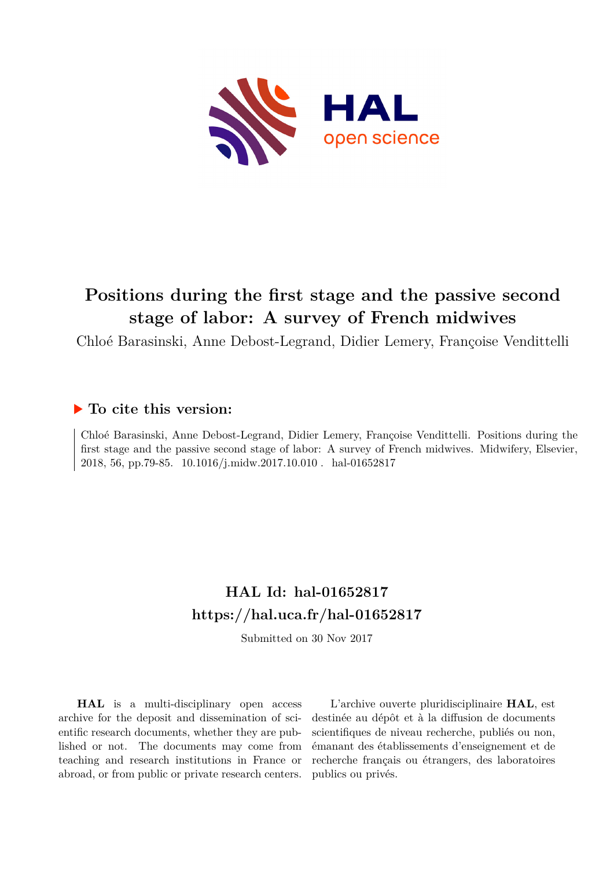

# **Positions during the first stage and the passive second stage of labor: A survey of French midwives**

Chloé Barasinski, Anne Debost-Legrand, Didier Lemery, Françoise Vendittelli

# **To cite this version:**

Chloé Barasinski, Anne Debost-Legrand, Didier Lemery, Françoise Vendittelli. Positions during the first stage and the passive second stage of labor: A survey of French midwives. Midwifery, Elsevier, 2018, 56, pp.79-85.  $10.1016/j.midw.2017.10.010$ . hal-01652817

# **HAL Id: hal-01652817 <https://hal.uca.fr/hal-01652817>**

Submitted on 30 Nov 2017

**HAL** is a multi-disciplinary open access archive for the deposit and dissemination of scientific research documents, whether they are published or not. The documents may come from teaching and research institutions in France or abroad, or from public or private research centers.

L'archive ouverte pluridisciplinaire **HAL**, est destinée au dépôt et à la diffusion de documents scientifiques de niveau recherche, publiés ou non, émanant des établissements d'enseignement et de recherche français ou étrangers, des laboratoires publics ou privés.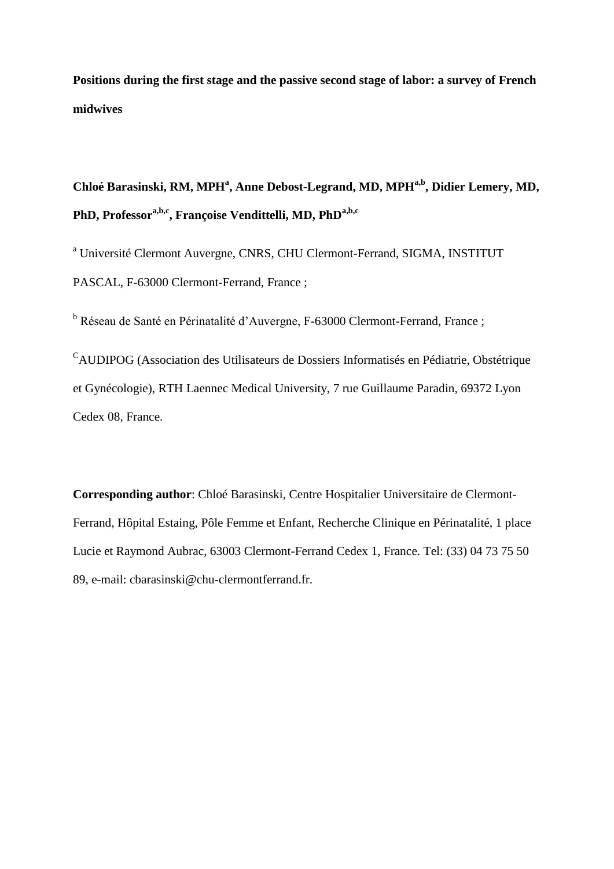**Positions during the first stage and the passive second stage of labor: a survey of French midwives** 

# **Chloé Barasinski, RM, MPH<sup>a</sup> , Anne Debost-Legrand, MD, MPHa,b, Didier Lemery, MD, PhD, Professora,b,c, Françoise Vendittelli, MD, PhDa,b,c**

<sup>a</sup> Université Clermont Auvergne, CNRS, CHU Clermont-Ferrand, SIGMA, INSTITUT PASCAL, F-63000 Clermont-Ferrand, France ;

<sup>b</sup> Réseau de Santé en Périnatalité d'Auvergne, F-63000 Clermont-Ferrand, France ;

<sup>C</sup>AUDIPOG (Association des Utilisateurs de Dossiers Informatisés en Pédiatrie, Obstétrique et Gynécologie), RTH Laennec Medical University, 7 rue Guillaume Paradin, 69372 Lyon Cedex 08, France.

**Corresponding author**: Chloé Barasinski, Centre Hospitalier Universitaire de Clermont-Ferrand, Hôpital Estaing, Pôle Femme et Enfant, Recherche Clinique en Périnatalité, 1 place Lucie et Raymond Aubrac, 63003 Clermont-Ferrand Cedex 1, France. Tel: (33) 04 73 75 50 89, e-mail: cbarasinski@chu-clermontferrand.fr.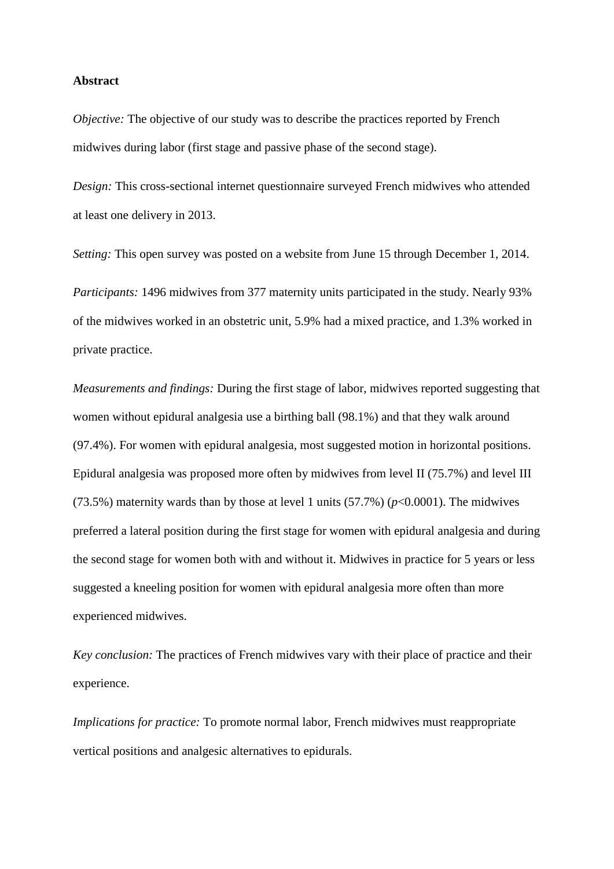#### **Abstract**

*Objective:* The objective of our study was to describe the practices reported by French midwives during labor (first stage and passive phase of the second stage).

*Design:* This cross-sectional internet questionnaire surveyed French midwives who attended at least one delivery in 2013.

*Setting:* This open survey was posted on a website from June 15 through December 1, 2014. *Participants:* 1496 midwives from 377 maternity units participated in the study. Nearly 93% of the midwives worked in an obstetric unit, 5.9% had a mixed practice, and 1.3% worked in private practice.

*Measurements and findings:* During the first stage of labor, midwives reported suggesting that women without epidural analgesia use a birthing ball (98.1%) and that they walk around (97.4%). For women with epidural analgesia, most suggested motion in horizontal positions. Epidural analgesia was proposed more often by midwives from level II (75.7%) and level III (73.5%) maternity wards than by those at level 1 units  $(57.7\%)$  ( $p<0.0001$ ). The midwives preferred a lateral position during the first stage for women with epidural analgesia and during the second stage for women both with and without it. Midwives in practice for 5 years or less suggested a kneeling position for women with epidural analgesia more often than more experienced midwives.

*Key conclusion:* The practices of French midwives vary with their place of practice and their experience.

*Implications for practice:* To promote normal labor, French midwives must reappropriate vertical positions and analgesic alternatives to epidurals.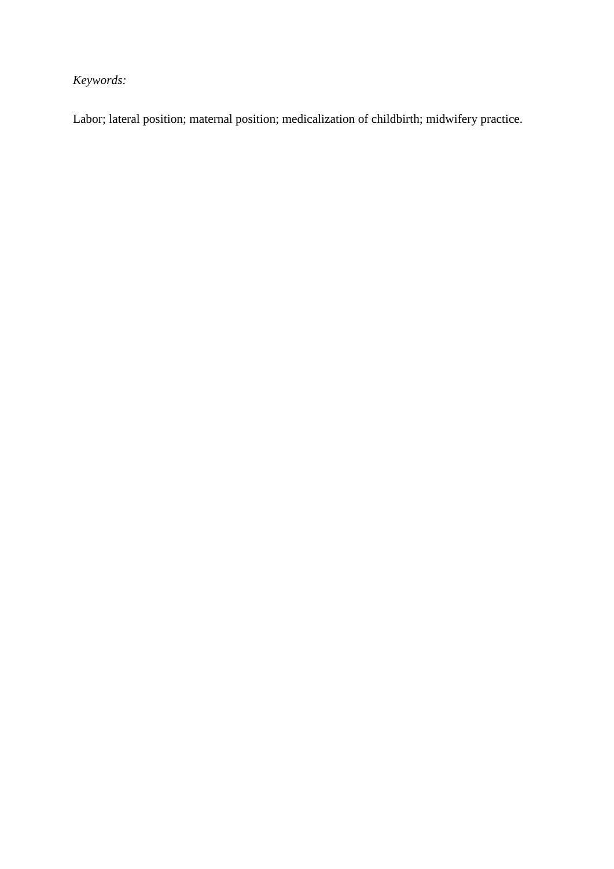*Keywords:*

Labor; lateral position; maternal position; medicalization of childbirth; midwifery practice.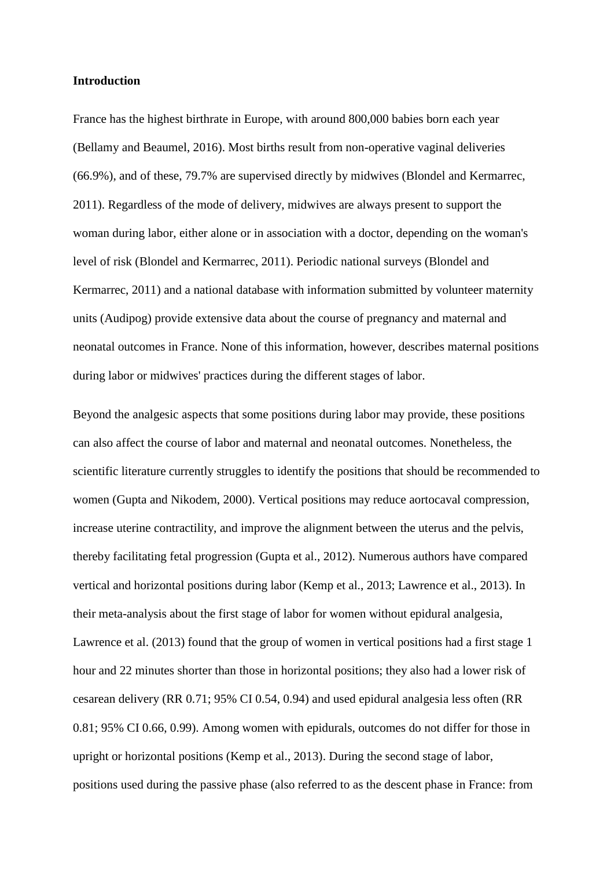# **Introduction**

France has the highest birthrate in Europe, with around 800,000 babies born each year (Bellamy and Beaumel, 2016). Most births result from non-operative vaginal deliveries (66.9%), and of these, 79.7% are supervised directly by midwives (Blondel and Kermarrec, 2011). Regardless of the mode of delivery, midwives are always present to support the woman during labor, either alone or in association with a doctor, depending on the woman's level of risk (Blondel and Kermarrec, 2011). Periodic national surveys (Blondel and Kermarrec, 2011) and a national database with information submitted by volunteer maternity units (Audipog) provide extensive data about the course of pregnancy and maternal and neonatal outcomes in France. None of this information, however, describes maternal positions during labor or midwives' practices during the different stages of labor.

Beyond the analgesic aspects that some positions during labor may provide, these positions can also affect the course of labor and maternal and neonatal outcomes. Nonetheless, the scientific literature currently struggles to identify the positions that should be recommended to women (Gupta and Nikodem, 2000). Vertical positions may reduce aortocaval compression, increase uterine contractility, and improve the alignment between the uterus and the pelvis, thereby facilitating fetal progression (Gupta et al., 2012). Numerous authors have compared vertical and horizontal positions during labor (Kemp et al., 2013; Lawrence et al., 2013). In their meta-analysis about the first stage of labor for women without epidural analgesia, Lawrence et al. (2013) found that the group of women in vertical positions had a first stage 1 hour and 22 minutes shorter than those in horizontal positions; they also had a lower risk of cesarean delivery (RR 0.71; 95% CI 0.54, 0.94) and used epidural analgesia less often (RR 0.81; 95% CI 0.66, 0.99). Among women with epidurals, outcomes do not differ for those in upright or horizontal positions (Kemp et al., 2013). During the second stage of labor, positions used during the passive phase (also referred to as the descent phase in France: from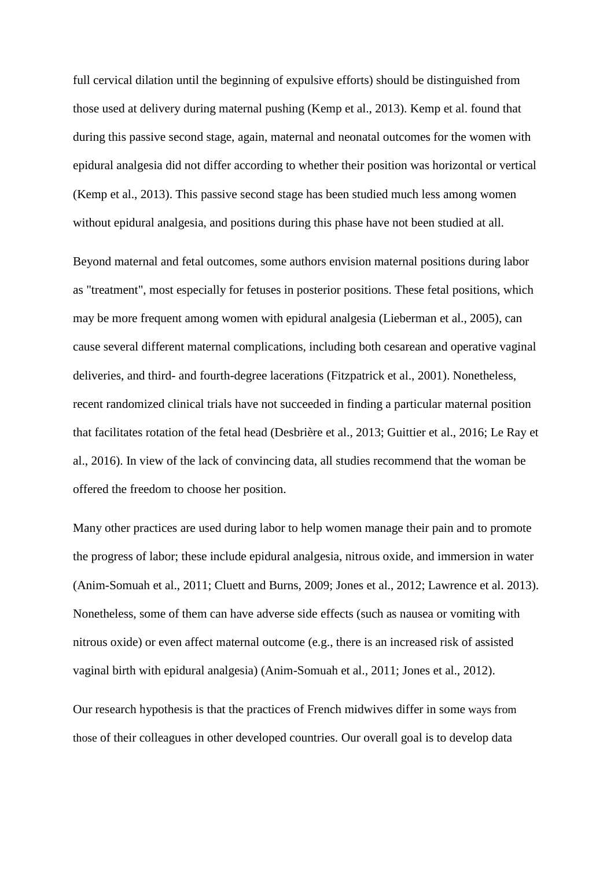full cervical dilation until the beginning of expulsive efforts) should be distinguished from those used at delivery during maternal pushing (Kemp et al., 2013). Kemp et al. found that during this passive second stage, again, maternal and neonatal outcomes for the women with epidural analgesia did not differ according to whether their position was horizontal or vertical (Kemp et al., 2013). This passive second stage has been studied much less among women without epidural analgesia, and positions during this phase have not been studied at all.

Beyond maternal and fetal outcomes, some authors envision maternal positions during labor as "treatment", most especially for fetuses in posterior positions. These fetal positions, which may be more frequent among women with epidural analgesia (Lieberman et al., 2005), can cause several different maternal complications, including both cesarean and operative vaginal deliveries, and third- and fourth-degree lacerations (Fitzpatrick et al., 2001). Nonetheless, recent randomized clinical trials have not succeeded in finding a particular maternal position that facilitates rotation of the fetal head (Desbrière et al., 2013; Guittier et al., 2016; Le Ray et al., 2016). In view of the lack of convincing data, all studies recommend that the woman be offered the freedom to choose her position.

Many other practices are used during labor to help women manage their pain and to promote the progress of labor; these include epidural analgesia, nitrous oxide, and immersion in water (Anim-Somuah et al., 2011; Cluett and Burns, 2009; Jones et al., 2012; Lawrence et al. 2013). Nonetheless, some of them can have adverse side effects (such as nausea or vomiting with nitrous oxide) or even affect maternal outcome (e.g., there is an increased risk of assisted vaginal birth with epidural analgesia) (Anim-Somuah et al., 2011; Jones et al., 2012).

Our research hypothesis is that the practices of French midwives differ in some ways from those of their colleagues in other developed countries. Our overall goal is to develop data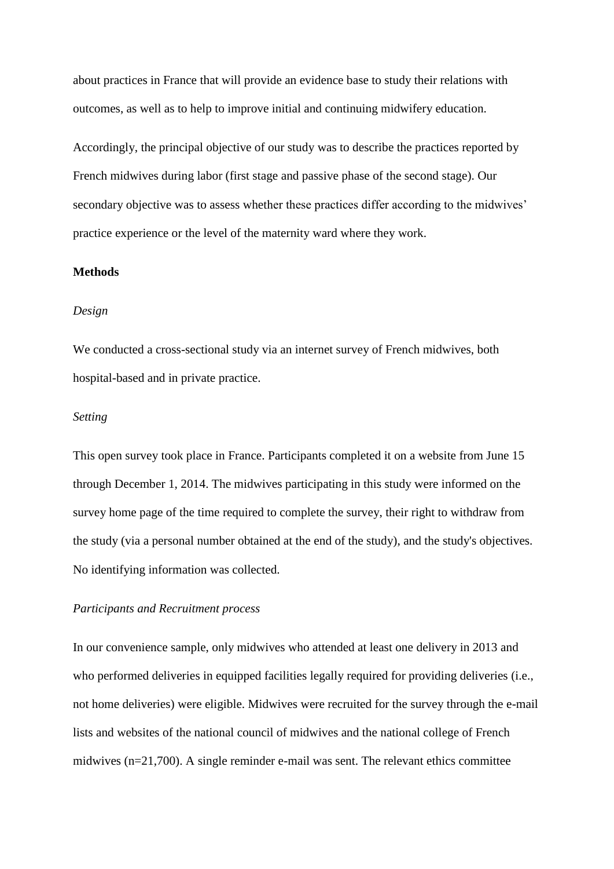about practices in France that will provide an evidence base to study their relations with outcomes, as well as to help to improve initial and continuing midwifery education.

Accordingly, the principal objective of our study was to describe the practices reported by French midwives during labor (first stage and passive phase of the second stage). Our secondary objective was to assess whether these practices differ according to the midwives' practice experience or the level of the maternity ward where they work.

#### **Methods**

#### *Design*

We conducted a cross-sectional study via an internet survey of French midwives, both hospital-based and in private practice.

### *Setting*

This open survey took place in France. Participants completed it on a website from June 15 through December 1, 2014. The midwives participating in this study were informed on the survey home page of the time required to complete the survey, their right to withdraw from the study (via a personal number obtained at the end of the study), and the study's objectives. No identifying information was collected.

#### *Participants and Recruitment process*

In our convenience sample, only midwives who attended at least one delivery in 2013 and who performed deliveries in equipped facilities legally required for providing deliveries (i.e., not home deliveries) were eligible. Midwives were recruited for the survey through the e-mail lists and websites of the national council of midwives and the national college of French midwives (n=21,700). A single reminder e-mail was sent. The relevant ethics committee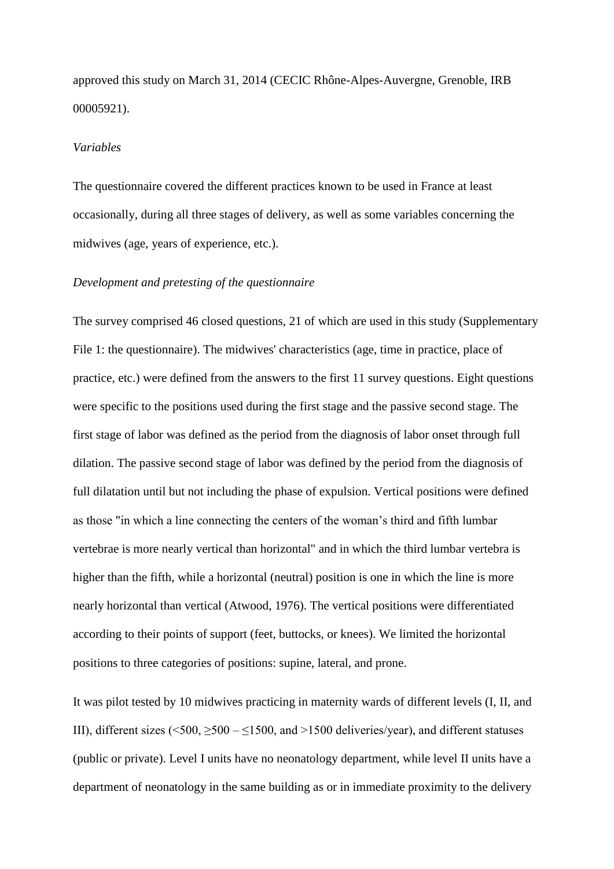approved this study on March 31, 2014 (CECIC Rhône-Alpes-Auvergne, Grenoble, IRB 00005921).

#### *Variables*

The questionnaire covered the different practices known to be used in France at least occasionally, during all three stages of delivery, as well as some variables concerning the midwives (age, years of experience, etc.).

#### *Development and pretesting of the questionnaire*

The survey comprised 46 closed questions, 21 of which are used in this study (Supplementary File 1: the questionnaire). The midwives' characteristics (age, time in practice, place of practice, etc.) were defined from the answers to the first 11 survey questions. Eight questions were specific to the positions used during the first stage and the passive second stage. The first stage of labor was defined as the period from the diagnosis of labor onset through full dilation. The passive second stage of labor was defined by the period from the diagnosis of full dilatation until but not including the phase of expulsion. Vertical positions were defined as those "in which a line connecting the centers of the woman's third and fifth lumbar vertebrae is more nearly vertical than horizontal" and in which the third lumbar vertebra is higher than the fifth, while a horizontal (neutral) position is one in which the line is more nearly horizontal than vertical (Atwood, 1976). The vertical positions were differentiated according to their points of support (feet, buttocks, or knees). We limited the horizontal positions to three categories of positions: supine, lateral, and prone.

It was pilot tested by 10 midwives practicing in maternity wards of different levels (I, II, and III), different sizes  $(500, >500 - 1500,$  and  $>1500$  deliveries/year), and different statuses (public or private). Level I units have no neonatology department, while level II units have a department of neonatology in the same building as or in immediate proximity to the delivery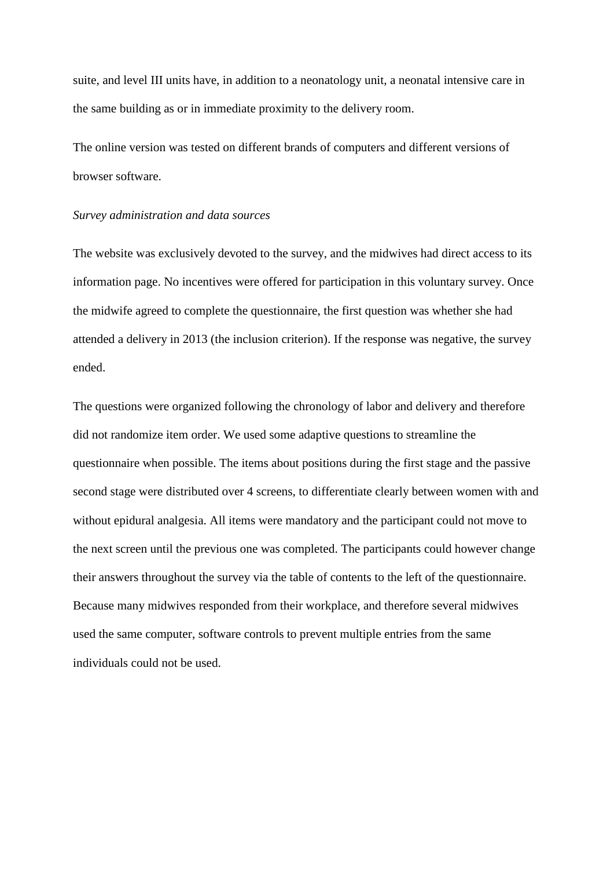suite, and level III units have, in addition to a neonatology unit, a neonatal intensive care in the same building as or in immediate proximity to the delivery room.

The online version was tested on different brands of computers and different versions of browser software.

#### *Survey administration and data sources*

The website was exclusively devoted to the survey, and the midwives had direct access to its information page. No incentives were offered for participation in this voluntary survey. Once the midwife agreed to complete the questionnaire, the first question was whether she had attended a delivery in 2013 (the inclusion criterion). If the response was negative, the survey ended.

The questions were organized following the chronology of labor and delivery and therefore did not randomize item order. We used some adaptive questions to streamline the questionnaire when possible. The items about positions during the first stage and the passive second stage were distributed over 4 screens, to differentiate clearly between women with and without epidural analgesia. All items were mandatory and the participant could not move to the next screen until the previous one was completed. The participants could however change their answers throughout the survey via the table of contents to the left of the questionnaire. Because many midwives responded from their workplace, and therefore several midwives used the same computer, software controls to prevent multiple entries from the same individuals could not be used.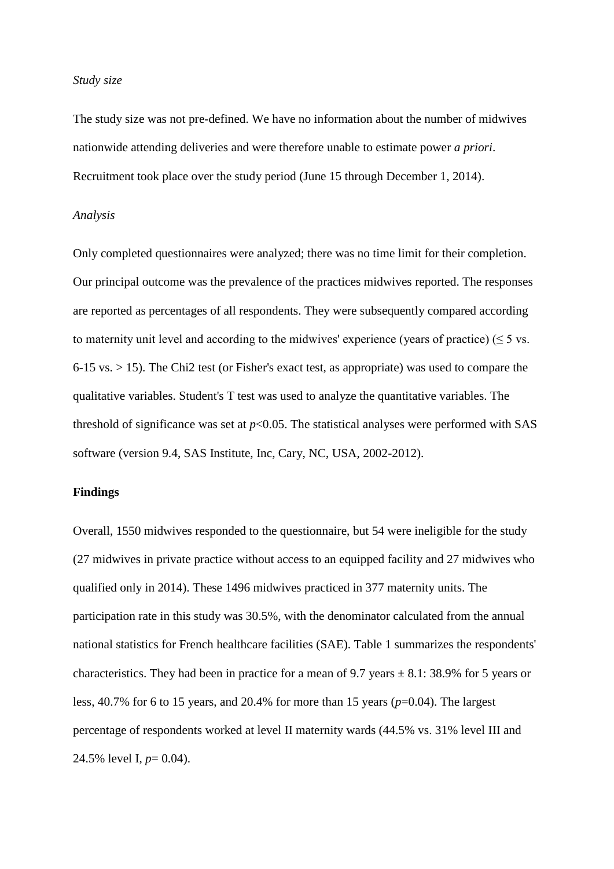#### *Study size*

The study size was not pre-defined. We have no information about the number of midwives nationwide attending deliveries and were therefore unable to estimate power *a priori*. Recruitment took place over the study period (June 15 through December 1, 2014).

#### *Analysis*

Only completed questionnaires were analyzed; there was no time limit for their completion. Our principal outcome was the prevalence of the practices midwives reported. The responses are reported as percentages of all respondents. They were subsequently compared according to maternity unit level and according to the midwives' experience (years of practice) ( $\leq$  5 vs. 6-15 vs. > 15). The Chi2 test (or Fisher's exact test, as appropriate) was used to compare the qualitative variables. Student's T test was used to analyze the quantitative variables. The threshold of significance was set at  $p<0.05$ . The statistical analyses were performed with SAS software (version 9.4, SAS Institute, Inc, Cary, NC, USA, 2002-2012).

#### **Findings**

Overall, 1550 midwives responded to the questionnaire, but 54 were ineligible for the study (27 midwives in private practice without access to an equipped facility and 27 midwives who qualified only in 2014). These 1496 midwives practiced in 377 maternity units. The participation rate in this study was 30.5%, with the denominator calculated from the annual national statistics for French healthcare facilities (SAE). Table 1 summarizes the respondents' characteristics. They had been in practice for a mean of 9.7 years  $\pm$  8.1: 38.9% for 5 years or less, 40.7% for 6 to 15 years, and 20.4% for more than 15 years (*p*=0.04). The largest percentage of respondents worked at level II maternity wards (44.5% vs. 31% level III and 24.5% level I, *p*= 0.04).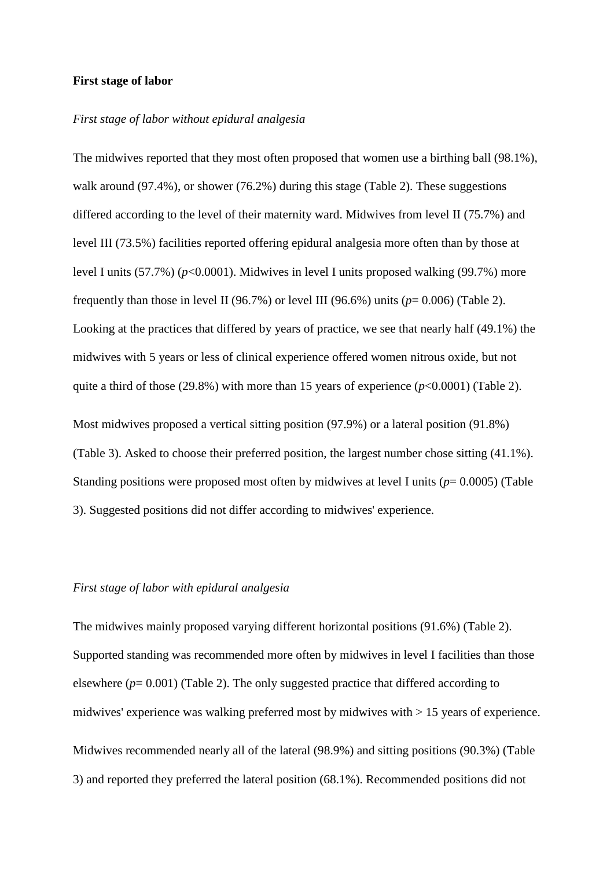#### **First stage of labor**

### *First stage of labor without epidural analgesia*

The midwives reported that they most often proposed that women use a birthing ball (98.1%), walk around (97.4%), or shower (76.2%) during this stage (Table 2). These suggestions differed according to the level of their maternity ward. Midwives from level II (75.7%) and level III (73.5%) facilities reported offering epidural analgesia more often than by those at level I units (57.7%) (*p*<0.0001). Midwives in level I units proposed walking (99.7%) more frequently than those in level II (96.7%) or level III (96.6%) units ( $p=0.006$ ) (Table 2). Looking at the practices that differed by years of practice, we see that nearly half (49.1%) the midwives with 5 years or less of clinical experience offered women nitrous oxide, but not quite a third of those (29.8%) with more than 15 years of experience (*p*<0.0001) (Table 2).

Most midwives proposed a vertical sitting position (97.9%) or a lateral position (91.8%) (Table 3). Asked to choose their preferred position, the largest number chose sitting (41.1%). Standing positions were proposed most often by midwives at level I units  $(p= 0.0005)$  (Table 3). Suggested positions did not differ according to midwives' experience.

#### *First stage of labor with epidural analgesia*

The midwives mainly proposed varying different horizontal positions (91.6%) (Table 2). Supported standing was recommended more often by midwives in level I facilities than those elsewhere  $(p= 0.001)$  (Table 2). The only suggested practice that differed according to midwives' experience was walking preferred most by midwives with > 15 years of experience. Midwives recommended nearly all of the lateral (98.9%) and sitting positions (90.3%) (Table 3) and reported they preferred the lateral position (68.1%). Recommended positions did not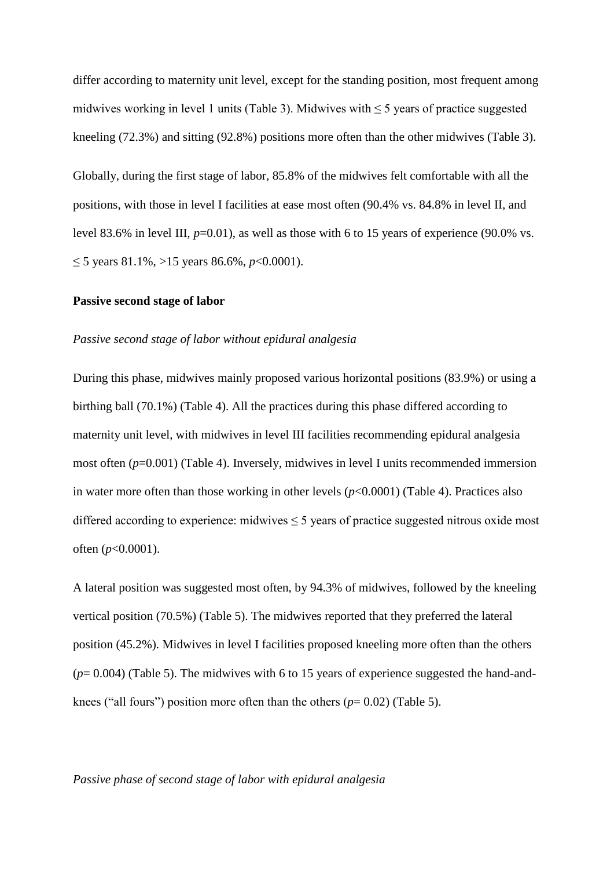differ according to maternity unit level, except for the standing position, most frequent among midwives working in level 1 units (Table 3). Midwives with  $\leq$  5 years of practice suggested kneeling (72.3%) and sitting (92.8%) positions more often than the other midwives (Table 3).

Globally, during the first stage of labor, 85.8% of the midwives felt comfortable with all the positions, with those in level I facilities at ease most often (90.4% vs. 84.8% in level II, and level 83.6% in level III,  $p=0.01$ ), as well as those with 6 to 15 years of experience (90.0% vs. ≤ 5 years 81.1%, >15 years 86.6%, *p*<0.0001).

#### **Passive second stage of labor**

#### *Passive second stage of labor without epidural analgesia*

During this phase, midwives mainly proposed various horizontal positions (83.9%) or using a birthing ball (70.1%) (Table 4). All the practices during this phase differed according to maternity unit level, with midwives in level III facilities recommending epidural analgesia most often (*p*=0.001) (Table 4). Inversely, midwives in level I units recommended immersion in water more often than those working in other levels (*p*<0.0001) (Table 4). Practices also differed according to experience: midwives  $\leq$  5 years of practice suggested nitrous oxide most often (*p*<0.0001).

A lateral position was suggested most often, by 94.3% of midwives, followed by the kneeling vertical position (70.5%) (Table 5). The midwives reported that they preferred the lateral position (45.2%). Midwives in level I facilities proposed kneeling more often than the others (*p*= 0.004) (Table 5). The midwives with 6 to 15 years of experience suggested the hand-andknees ("all fours") position more often than the others  $(p=0.02)$  (Table 5).

#### *Passive phase of second stage of labor with epidural analgesia*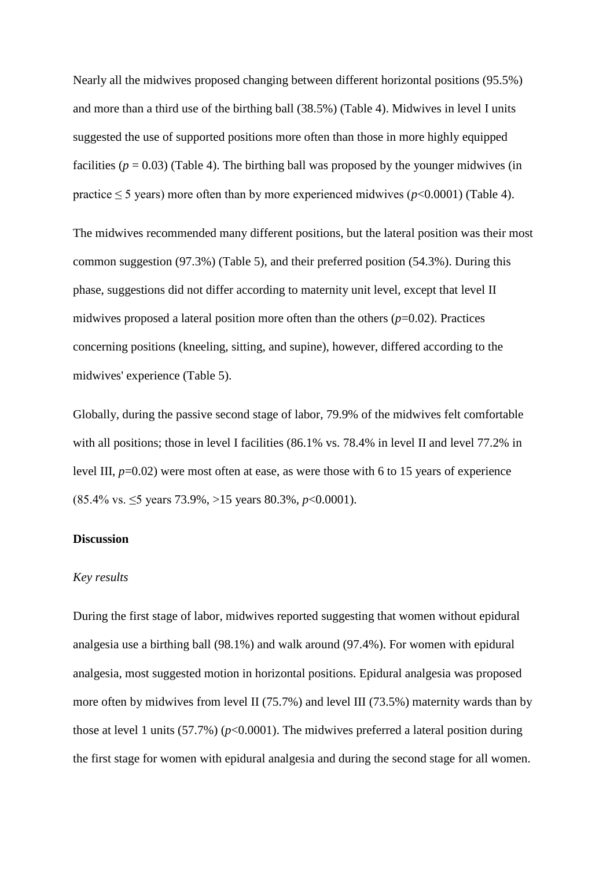Nearly all the midwives proposed changing between different horizontal positions (95.5%) and more than a third use of the birthing ball (38.5%) (Table 4). Midwives in level I units suggested the use of supported positions more often than those in more highly equipped facilities ( $p = 0.03$ ) (Table 4). The birthing ball was proposed by the younger midwives (in practice  $\leq$  5 years) more often than by more experienced midwives ( $p$ <0.0001) (Table 4).

The midwives recommended many different positions, but the lateral position was their most common suggestion (97.3%) (Table 5), and their preferred position (54.3%). During this phase, suggestions did not differ according to maternity unit level, except that level II midwives proposed a lateral position more often than the others  $(p=0.02)$ . Practices concerning positions (kneeling, sitting, and supine), however, differed according to the midwives' experience (Table 5).

Globally, during the passive second stage of labor, 79.9% of the midwives felt comfortable with all positions; those in level I facilities (86.1% vs. 78.4% in level II and level 77.2% in level III,  $p=0.02$ ) were most often at ease, as were those with 6 to 15 years of experience (85.4% vs. ≤5 years 73.9%, >15 years 80.3%, *p*<0.0001).

# **Discussion**

### *Key results*

During the first stage of labor, midwives reported suggesting that women without epidural analgesia use a birthing ball (98.1%) and walk around (97.4%). For women with epidural analgesia, most suggested motion in horizontal positions. Epidural analgesia was proposed more often by midwives from level II (75.7%) and level III (73.5%) maternity wards than by those at level 1 units (57.7%) (*p*<0.0001). The midwives preferred a lateral position during the first stage for women with epidural analgesia and during the second stage for all women.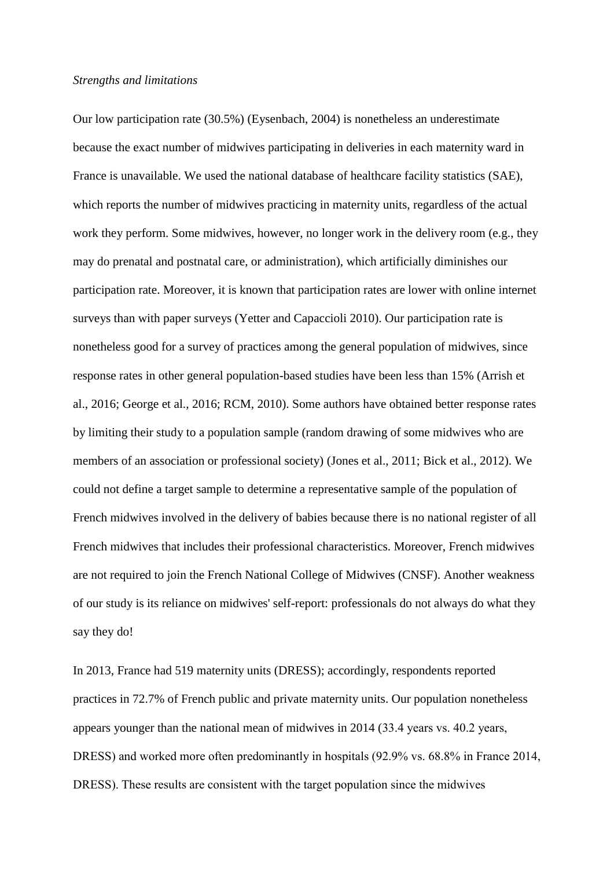#### *Strengths and limitations*

Our low participation rate (30.5%) (Eysenbach, 2004) is nonetheless an underestimate because the exact number of midwives participating in deliveries in each maternity ward in France is unavailable. We used the national database of healthcare facility statistics (SAE), which reports the number of midwives practicing in maternity units, regardless of the actual work they perform. Some midwives, however, no longer work in the delivery room (e.g., they may do prenatal and postnatal care, or administration), which artificially diminishes our participation rate. Moreover, it is known that participation rates are lower with online internet surveys than with paper surveys (Yetter and Capaccioli 2010). Our participation rate is nonetheless good for a survey of practices among the general population of midwives, since response rates in other general population-based studies have been less than 15% (Arrish et al., 2016; George et al., 2016; RCM, 2010). Some authors have obtained better response rates by limiting their study to a population sample (random drawing of some midwives who are members of an association or professional society) (Jones et al., 2011; Bick et al., 2012). We could not define a target sample to determine a representative sample of the population of French midwives involved in the delivery of babies because there is no national register of all French midwives that includes their professional characteristics. Moreover, French midwives are not required to join the French National College of Midwives (CNSF). Another weakness of our study is its reliance on midwives' self-report: professionals do not always do what they say they do!

In 2013, France had 519 maternity units (DRESS); accordingly, respondents reported practices in 72.7% of French public and private maternity units. Our population nonetheless appears younger than the national mean of midwives in 2014 (33.4 years vs. 40.2 years, DRESS) and worked more often predominantly in hospitals (92.9% vs. 68.8% in France 2014, DRESS). These results are consistent with the target population since the midwives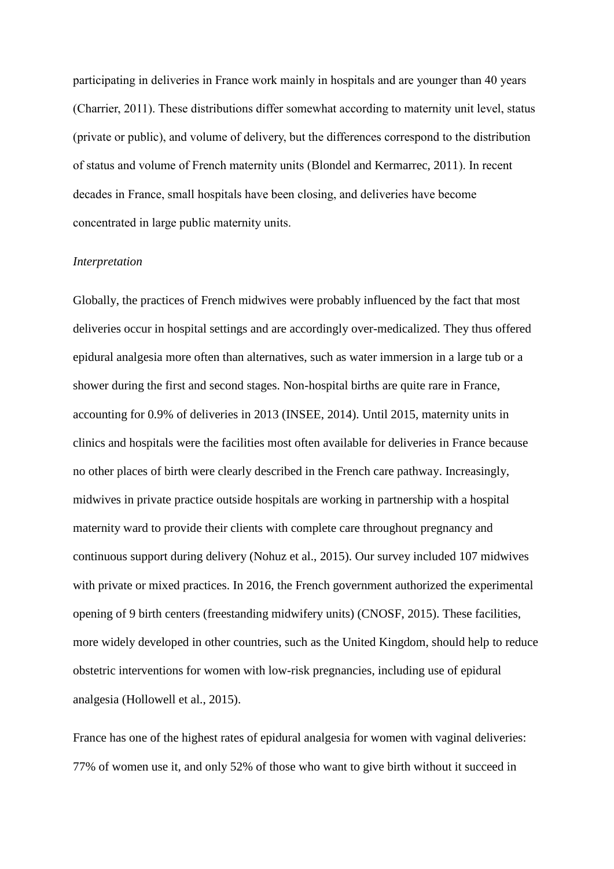participating in deliveries in France work mainly in hospitals and are younger than 40 years (Charrier, 2011). These distributions differ somewhat according to maternity unit level, status (private or public), and volume of delivery, but the differences correspond to the distribution of status and volume of French maternity units (Blondel and Kermarrec, 2011). In recent decades in France, small hospitals have been closing, and deliveries have become concentrated in large public maternity units.

#### *Interpretation*

Globally, the practices of French midwives were probably influenced by the fact that most deliveries occur in hospital settings and are accordingly over-medicalized. They thus offered epidural analgesia more often than alternatives, such as water immersion in a large tub or a shower during the first and second stages. Non-hospital births are quite rare in France, accounting for 0.9% of deliveries in 2013 (INSEE, 2014). Until 2015, maternity units in clinics and hospitals were the facilities most often available for deliveries in France because no other places of birth were clearly described in the French care pathway. Increasingly, midwives in private practice outside hospitals are working in partnership with a hospital maternity ward to provide their clients with complete care throughout pregnancy and continuous support during delivery (Nohuz et al., 2015). Our survey included 107 midwives with private or mixed practices. In 2016, the French government authorized the experimental opening of 9 birth centers (freestanding midwifery units) (CNOSF, 2015). These facilities, more widely developed in other countries, such as the United Kingdom, should help to reduce obstetric interventions for women with low-risk pregnancies, including use of epidural analgesia (Hollowell et al., 2015).

France has one of the highest rates of epidural analgesia for women with vaginal deliveries: 77% of women use it, and only 52% of those who want to give birth without it succeed in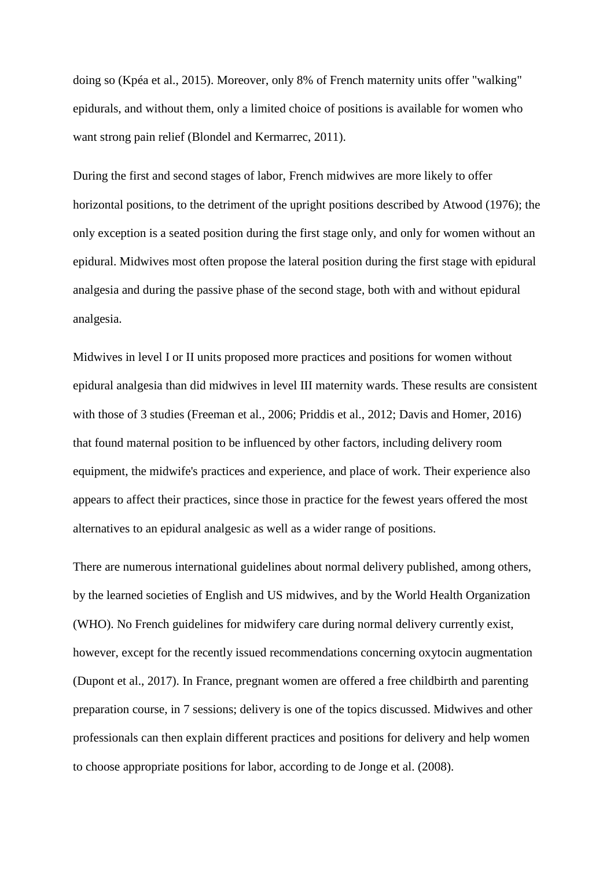doing so (Kpéa et al., 2015). Moreover, only 8% of French maternity units offer "walking" epidurals, and without them, only a limited choice of positions is available for women who want strong pain relief (Blondel and Kermarrec, 2011).

During the first and second stages of labor, French midwives are more likely to offer horizontal positions, to the detriment of the upright positions described by Atwood (1976); the only exception is a seated position during the first stage only, and only for women without an epidural. Midwives most often propose the lateral position during the first stage with epidural analgesia and during the passive phase of the second stage, both with and without epidural analgesia.

Midwives in level I or II units proposed more practices and positions for women without epidural analgesia than did midwives in level III maternity wards. These results are consistent with those of 3 studies (Freeman et al., 2006; Priddis et al., 2012; Davis and Homer, 2016) that found maternal position to be influenced by other factors, including delivery room equipment, the midwife's practices and experience, and place of work. Their experience also appears to affect their practices, since those in practice for the fewest years offered the most alternatives to an epidural analgesic as well as a wider range of positions.

There are numerous international guidelines about normal delivery published, among others, by the learned societies of English and US midwives, and by the World Health Organization (WHO). No French guidelines for midwifery care during normal delivery currently exist, however, except for the recently issued recommendations concerning oxytocin augmentation (Dupont et al., 2017). In France, pregnant women are offered a free childbirth and parenting preparation course, in 7 sessions; delivery is one of the topics discussed. Midwives and other professionals can then explain different practices and positions for delivery and help women to choose appropriate positions for labor, according to de Jonge et al. (2008).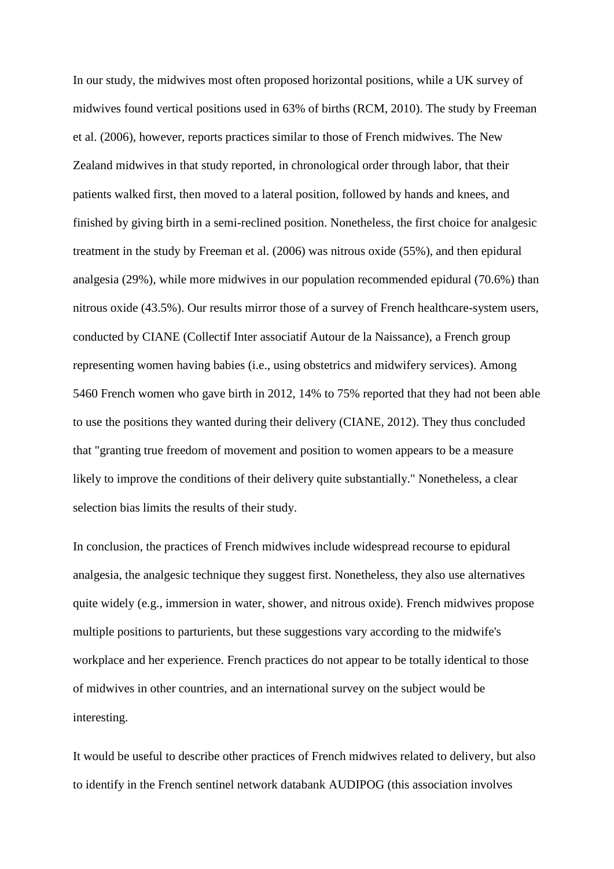In our study, the midwives most often proposed horizontal positions, while a UK survey of midwives found vertical positions used in 63% of births (RCM, 2010). The study by Freeman et al. (2006), however, reports practices similar to those of French midwives. The New Zealand midwives in that study reported, in chronological order through labor, that their patients walked first, then moved to a lateral position, followed by hands and knees, and finished by giving birth in a semi-reclined position. Nonetheless, the first choice for analgesic treatment in the study by Freeman et al. (2006) was nitrous oxide (55%), and then epidural analgesia (29%), while more midwives in our population recommended epidural (70.6%) than nitrous oxide (43.5%). Our results mirror those of a survey of French healthcare-system users, conducted by CIANE (Collectif Inter associatif Autour de la Naissance), a French group representing women having babies (i.e., using obstetrics and midwifery services). Among 5460 French women who gave birth in 2012, 14% to 75% reported that they had not been able to use the positions they wanted during their delivery (CIANE, 2012). They thus concluded that "granting true freedom of movement and position to women appears to be a measure likely to improve the conditions of their delivery quite substantially." Nonetheless, a clear selection bias limits the results of their study.

In conclusion, the practices of French midwives include widespread recourse to epidural analgesia, the analgesic technique they suggest first. Nonetheless, they also use alternatives quite widely (e.g., immersion in water, shower, and nitrous oxide). French midwives propose multiple positions to parturients, but these suggestions vary according to the midwife's workplace and her experience. French practices do not appear to be totally identical to those of midwives in other countries, and an international survey on the subject would be interesting.

It would be useful to describe other practices of French midwives related to delivery, but also to identify in the French sentinel network databank AUDIPOG (this association involves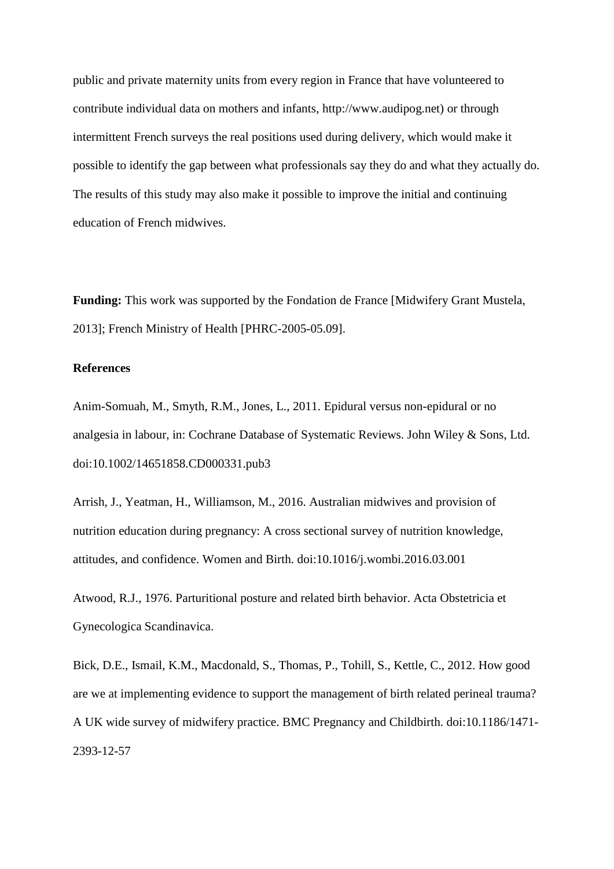public and private maternity units from every region in France that have volunteered to contribute individual data on mothers and infants, http://www.audipog.net) or through intermittent French surveys the real positions used during delivery, which would make it possible to identify the gap between what professionals say they do and what they actually do. The results of this study may also make it possible to improve the initial and continuing education of French midwives.

**Funding:** This work was supported by the Fondation de France [Midwifery Grant Mustela, 2013]; French Ministry of Health [PHRC-2005-05.09].

# **References**

Anim-Somuah, M., Smyth, R.M., Jones, L., 2011. Epidural versus non-epidural or no analgesia in labour, in: Cochrane Database of Systematic Reviews. John Wiley & Sons, Ltd. doi:10.1002/14651858.CD000331.pub3

Arrish, J., Yeatman, H., Williamson, M., 2016. Australian midwives and provision of nutrition education during pregnancy: A cross sectional survey of nutrition knowledge, attitudes, and confidence. Women and Birth. doi:10.1016/j.wombi.2016.03.001

Atwood, R.J., 1976. Parturitional posture and related birth behavior. Acta Obstetricia et Gynecologica Scandinavica.

Bick, D.E., Ismail, K.M., Macdonald, S., Thomas, P., Tohill, S., Kettle, C., 2012. How good are we at implementing evidence to support the management of birth related perineal trauma? A UK wide survey of midwifery practice. BMC Pregnancy and Childbirth. doi:10.1186/1471- 2393-12-57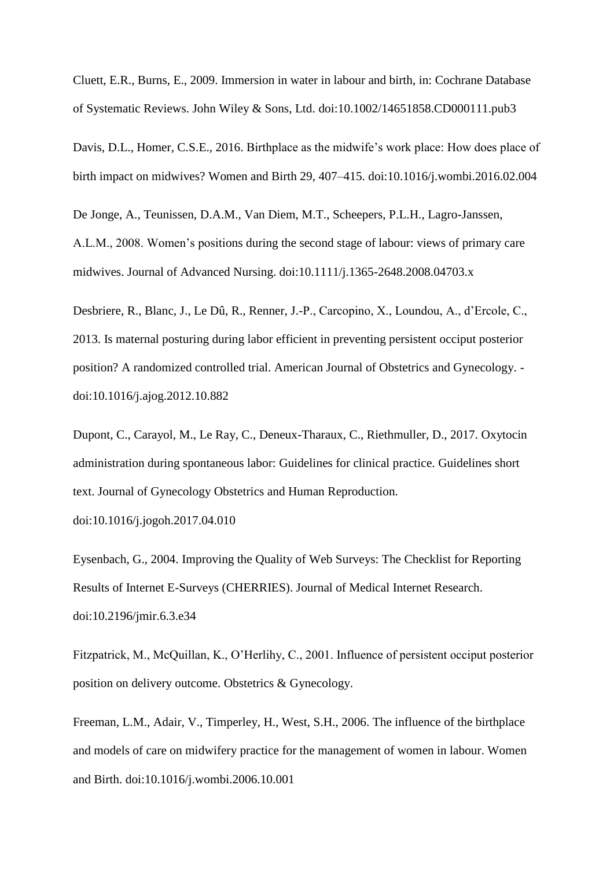Cluett, E.R., Burns, E., 2009. Immersion in water in labour and birth, in: Cochrane Database of Systematic Reviews. John Wiley & Sons, Ltd. doi:10.1002/14651858.CD000111.pub3

Davis, D.L., Homer, C.S.E., 2016. Birthplace as the midwife's work place: How does place of birth impact on midwives? Women and Birth 29, 407–415. doi:10.1016/j.wombi.2016.02.004

De Jonge, A., Teunissen, D.A.M., Van Diem, M.T., Scheepers, P.L.H., Lagro-Janssen, A.L.M., 2008. Women's positions during the second stage of labour: views of primary care midwives. Journal of Advanced Nursing. doi:10.1111/j.1365-2648.2008.04703.x

Desbriere, R., Blanc, J., Le Dû, R., Renner, J.-P., Carcopino, X., Loundou, A., d'Ercole, C., 2013. Is maternal posturing during labor efficient in preventing persistent occiput posterior position? A randomized controlled trial. American Journal of Obstetrics and Gynecology. doi:10.1016/j.ajog.2012.10.882

Dupont, C., Carayol, M., Le Ray, C., Deneux-Tharaux, C., Riethmuller, D., 2017. Oxytocin administration during spontaneous labor: Guidelines for clinical practice. Guidelines short text. Journal of Gynecology Obstetrics and Human Reproduction.

doi:10.1016/j.jogoh.2017.04.010

Eysenbach, G., 2004. Improving the Quality of Web Surveys: The Checklist for Reporting Results of Internet E-Surveys (CHERRIES). Journal of Medical Internet Research. doi:10.2196/jmir.6.3.e34

Fitzpatrick, M., McQuillan, K., O'Herlihy, C., 2001. Influence of persistent occiput posterior position on delivery outcome. Obstetrics & Gynecology.

Freeman, L.M., Adair, V., Timperley, H., West, S.H., 2006. The influence of the birthplace and models of care on midwifery practice for the management of women in labour. Women and Birth. doi:10.1016/j.wombi.2006.10.001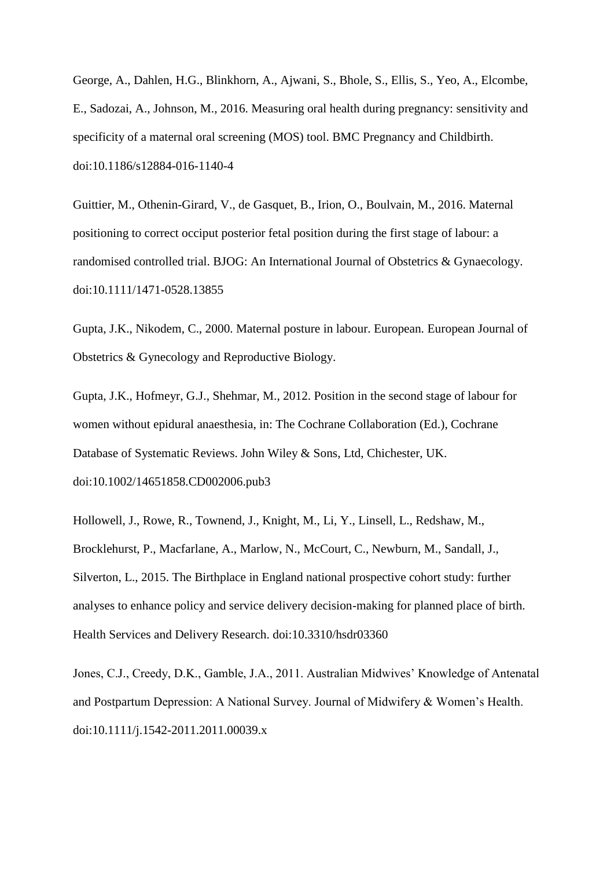George, A., Dahlen, H.G., Blinkhorn, A., Ajwani, S., Bhole, S., Ellis, S., Yeo, A., Elcombe, E., Sadozai, A., Johnson, M., 2016. Measuring oral health during pregnancy: sensitivity and specificity of a maternal oral screening (MOS) tool. BMC Pregnancy and Childbirth. doi:10.1186/s12884-016-1140-4

Guittier, M., Othenin-Girard, V., de Gasquet, B., Irion, O., Boulvain, M., 2016. Maternal positioning to correct occiput posterior fetal position during the first stage of labour: a randomised controlled trial. BJOG: An International Journal of Obstetrics & Gynaecology. doi:10.1111/1471-0528.13855

Gupta, J.K., Nikodem, C., 2000. Maternal posture in labour. European. European Journal of Obstetrics & Gynecology and Reproductive Biology.

Gupta, J.K., Hofmeyr, G.J., Shehmar, M., 2012. Position in the second stage of labour for women without epidural anaesthesia, in: The Cochrane Collaboration (Ed.), Cochrane Database of Systematic Reviews. John Wiley & Sons, Ltd, Chichester, UK. doi:10.1002/14651858.CD002006.pub3

Hollowell, J., Rowe, R., Townend, J., Knight, M., Li, Y., Linsell, L., Redshaw, M., Brocklehurst, P., Macfarlane, A., Marlow, N., McCourt, C., Newburn, M., Sandall, J., Silverton, L., 2015. The Birthplace in England national prospective cohort study: further analyses to enhance policy and service delivery decision-making for planned place of birth. Health Services and Delivery Research. doi:10.3310/hsdr03360

Jones, C.J., Creedy, D.K., Gamble, J.A., 2011. Australian Midwives' Knowledge of Antenatal and Postpartum Depression: A National Survey. Journal of Midwifery & Women's Health. doi:10.1111/j.1542-2011.2011.00039.x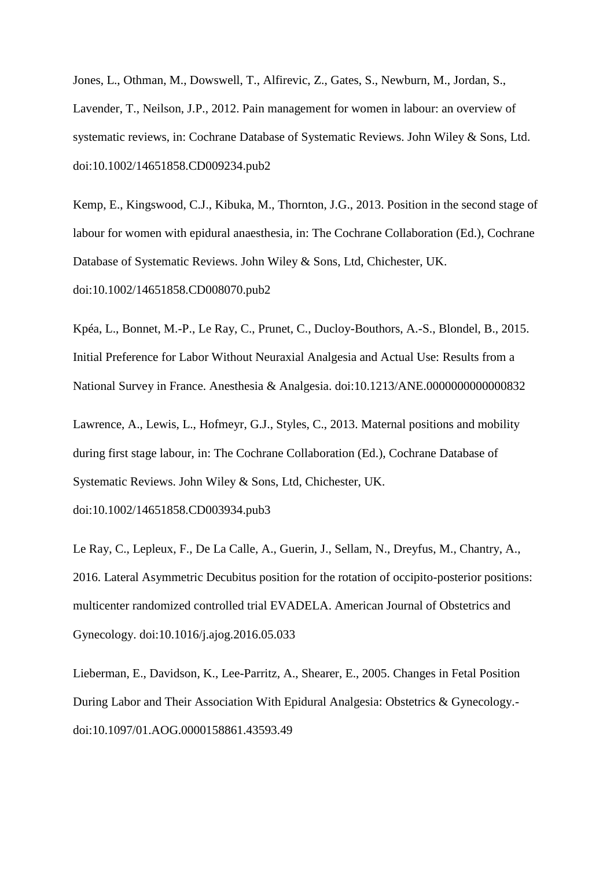Jones, L., Othman, M., Dowswell, T., Alfirevic, Z., Gates, S., Newburn, M., Jordan, S., Lavender, T., Neilson, J.P., 2012. Pain management for women in labour: an overview of systematic reviews, in: Cochrane Database of Systematic Reviews. John Wiley & Sons, Ltd. doi:10.1002/14651858.CD009234.pub2

Kemp, E., Kingswood, C.J., Kibuka, M., Thornton, J.G., 2013. Position in the second stage of labour for women with epidural anaesthesia, in: The Cochrane Collaboration (Ed.), Cochrane Database of Systematic Reviews. John Wiley & Sons, Ltd, Chichester, UK. doi:10.1002/14651858.CD008070.pub2

Kpéa, L., Bonnet, M.-P., Le Ray, C., Prunet, C., Ducloy-Bouthors, A.-S., Blondel, B., 2015. Initial Preference for Labor Without Neuraxial Analgesia and Actual Use: Results from a National Survey in France. Anesthesia & Analgesia. doi:10.1213/ANE.0000000000000832

Lawrence, A., Lewis, L., Hofmeyr, G.J., Styles, C., 2013. Maternal positions and mobility during first stage labour, in: The Cochrane Collaboration (Ed.), Cochrane Database of Systematic Reviews. John Wiley & Sons, Ltd, Chichester, UK.

doi:10.1002/14651858.CD003934.pub3

Le Ray, C., Lepleux, F., De La Calle, A., Guerin, J., Sellam, N., Dreyfus, M., Chantry, A., 2016. Lateral Asymmetric Decubitus position for the rotation of occipito-posterior positions: multicenter randomized controlled trial EVADELA. American Journal of Obstetrics and Gynecology. doi:10.1016/j.ajog.2016.05.033

Lieberman, E., Davidson, K., Lee-Parritz, A., Shearer, E., 2005. Changes in Fetal Position During Labor and Their Association With Epidural Analgesia: Obstetrics & Gynecology. doi:10.1097/01.AOG.0000158861.43593.49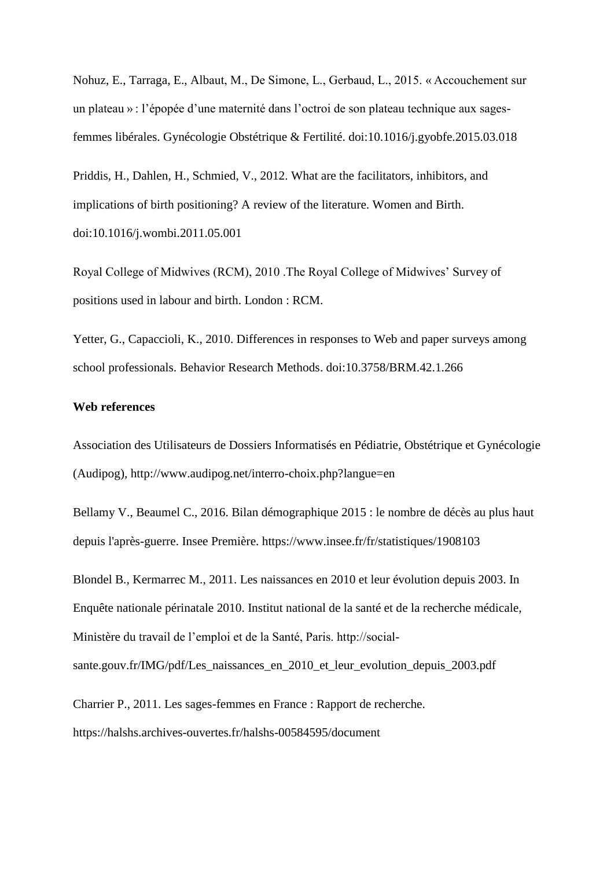Nohuz, E., Tarraga, E., Albaut, M., De Simone, L., Gerbaud, L., 2015. « Accouchement sur un plateau » : l'épopée d'une maternité dans l'octroi de son plateau technique aux sagesfemmes libérales. Gynécologie Obstétrique & Fertilité. doi:10.1016/j.gyobfe.2015.03.018

Priddis, H., Dahlen, H., Schmied, V., 2012. What are the facilitators, inhibitors, and implications of birth positioning? A review of the literature. Women and Birth. doi:10.1016/j.wombi.2011.05.001

Royal College of Midwives (RCM), 2010 .The Royal College of Midwives' Survey of positions used in labour and birth. London : RCM.

Yetter, G., Capaccioli, K., 2010. Differences in responses to Web and paper surveys among school professionals. Behavior Research Methods. doi:10.3758/BRM.42.1.266

# **Web references**

Association des Utilisateurs de Dossiers Informatisés en Pédiatrie, Obstétrique et Gynécologie (Audipog), http://www.audipog.net/interro-choix.php?langue=en

Bellamy V., Beaumel C., 2016. Bilan démographique 2015 : le nombre de décès au plus haut depuis l'après-guerre. Insee Première. https://www.insee.fr/fr/statistiques/1908103

Blondel B., Kermarrec M., 2011. Les naissances en 2010 et leur évolution depuis 2003. In Enquête nationale périnatale 2010. Institut national de la santé et de la recherche médicale, Ministère du travail de l'emploi et de la Santé, Paris. http://social-

sante.gouv.fr/IMG/pdf/Les\_naissances\_en\_2010\_et\_leur\_evolution\_depuis\_2003.pdf

Charrier P., 2011. Les sages-femmes en France : Rapport de recherche. https://halshs.archives-ouvertes.fr/halshs-00584595/document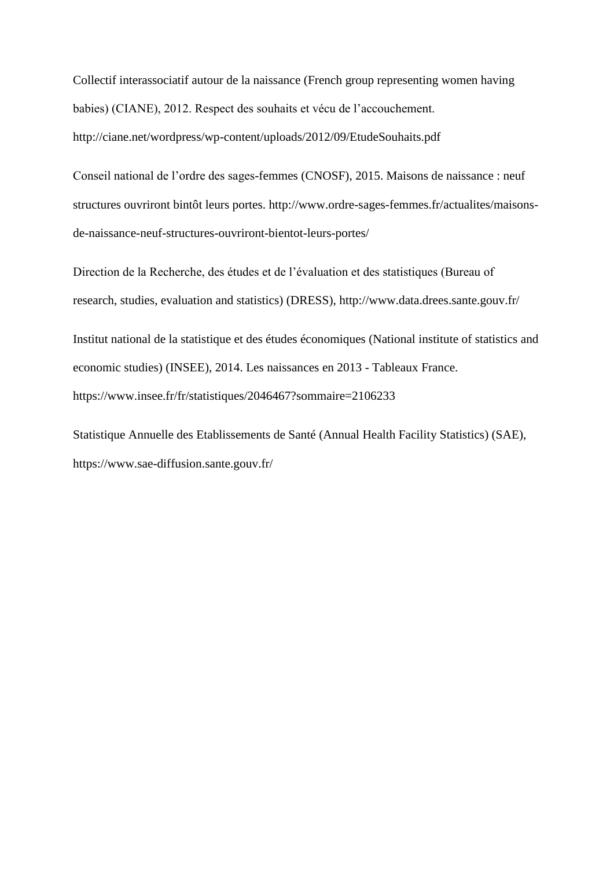Collectif interassociatif autour de la naissance (French group representing women having babies) (CIANE), 2012. Respect des souhaits et vécu de l'accouchement. http://ciane.net/wordpress/wp-content/uploads/2012/09/EtudeSouhaits.pdf

Conseil national de l'ordre des sages-femmes (CNOSF), 2015. Maisons de naissance : neuf structures ouvriront bintôt leurs portes. http://www.ordre-sages-femmes.fr/actualites/maisonsde-naissance-neuf-structures-ouvriront-bientot-leurs-portes/

Direction de la Recherche, des études et de l'évaluation et des statistiques (Bureau of research, studies, evaluation and statistics) (DRESS), http://www.data.drees.sante.gouv.fr/

Institut national de la statistique et des études économiques (National institute of statistics and economic studies) (INSEE), 2014. Les naissances en 2013 - Tableaux France. https://www.insee.fr/fr/statistiques/2046467?sommaire=2106233

Statistique Annuelle des Etablissements de Santé (Annual Health Facility Statistics) (SAE), https://www.sae-diffusion.sante.gouv.fr/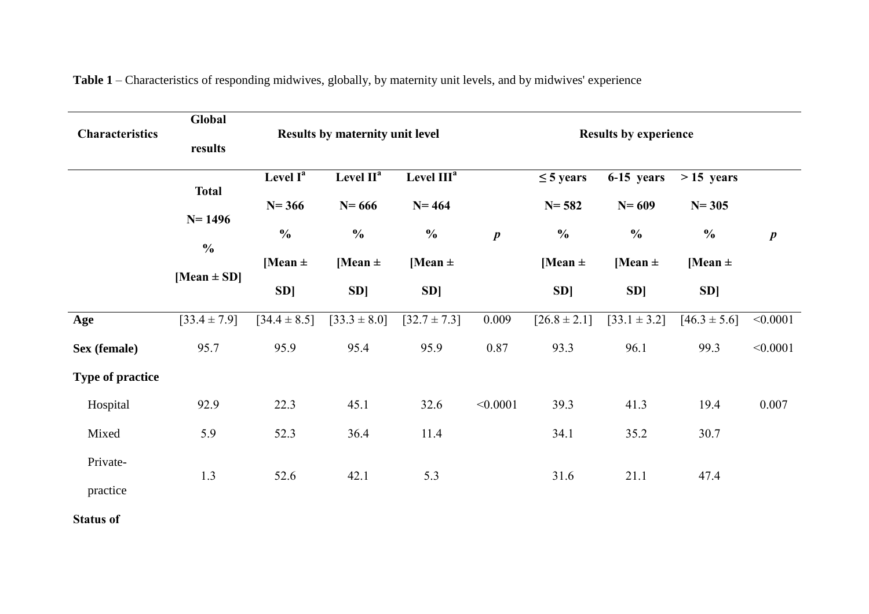| <b>Characteristics</b>  | Global<br>results                                              |                                                                       | <b>Results by maternity unit level</b>                                                       |                                                                                                    |                  | <b>Results by experience</b>                                             |                                                                      |                                                                 |                  |  |  |  |
|-------------------------|----------------------------------------------------------------|-----------------------------------------------------------------------|----------------------------------------------------------------------------------------------|----------------------------------------------------------------------------------------------------|------------------|--------------------------------------------------------------------------|----------------------------------------------------------------------|-----------------------------------------------------------------|------------------|--|--|--|
|                         | <b>Total</b><br>$N = 1496$<br>$\frac{0}{0}$<br>[Mean $\pm$ SD] | Level $I^a$<br>$N = 366$<br>$\frac{0}{0}$<br>[Mean $\pm$<br><b>SD</b> | Level $\mathbf{II}^{\mathbf{a}}$<br>$N = 666$<br>$\frac{0}{0}$<br>[Mean $\pm$<br><b>SD</b> ] | Level $\overline{\text{III}^{\text{a}}}$<br>$N = 464$<br>$\frac{0}{0}$<br>[Mean $\pm$<br><b>SD</b> | $\boldsymbol{p}$ | $\leq$ 5 years<br>$N = 582$<br>$\frac{0}{0}$<br>[Mean $\pm$<br><b>SD</b> | 6-15 years<br>$N = 609$<br>$\frac{0}{0}$<br>[Mean $\pm$<br><b>SD</b> | $>15$ years<br>$N = 305$<br>$\frac{0}{0}$<br>[Mean $\pm$<br>SD] | $\boldsymbol{p}$ |  |  |  |
| Age                     | $[33.4 \pm 7.9]$                                               | $[34.4 \pm 8.5]$                                                      | $[33.3 \pm 8.0]$                                                                             | $[32.7 \pm 7.3]$                                                                                   | 0.009            | $[26.8 \pm 2.1]$                                                         | $[33.1 \pm 3.2]$                                                     | $[46.3 \pm 5.6]$                                                | < 0.0001         |  |  |  |
| Sex (female)            | 95.7                                                           | 95.9                                                                  | 95.4                                                                                         | 95.9                                                                                               | 0.87             | 93.3                                                                     | 96.1                                                                 | 99.3                                                            | < 0.0001         |  |  |  |
| <b>Type of practice</b> |                                                                |                                                                       |                                                                                              |                                                                                                    |                  |                                                                          |                                                                      |                                                                 |                  |  |  |  |
| Hospital                | 92.9                                                           | 22.3                                                                  | 45.1                                                                                         | 32.6                                                                                               | < 0.0001         | 39.3                                                                     | 41.3                                                                 | 19.4                                                            | 0.007            |  |  |  |
| Mixed                   | 5.9                                                            | 52.3                                                                  | 36.4                                                                                         | 11.4                                                                                               |                  | 34.1                                                                     | 35.2                                                                 | 30.7                                                            |                  |  |  |  |
| Private-<br>practice    | 1.3                                                            | 52.6                                                                  | 42.1                                                                                         | 5.3                                                                                                |                  | 31.6                                                                     | 21.1                                                                 | 47.4                                                            |                  |  |  |  |

**Table 1** – Characteristics of responding midwives, globally, by maternity unit levels, and by midwives' experience

**Status of**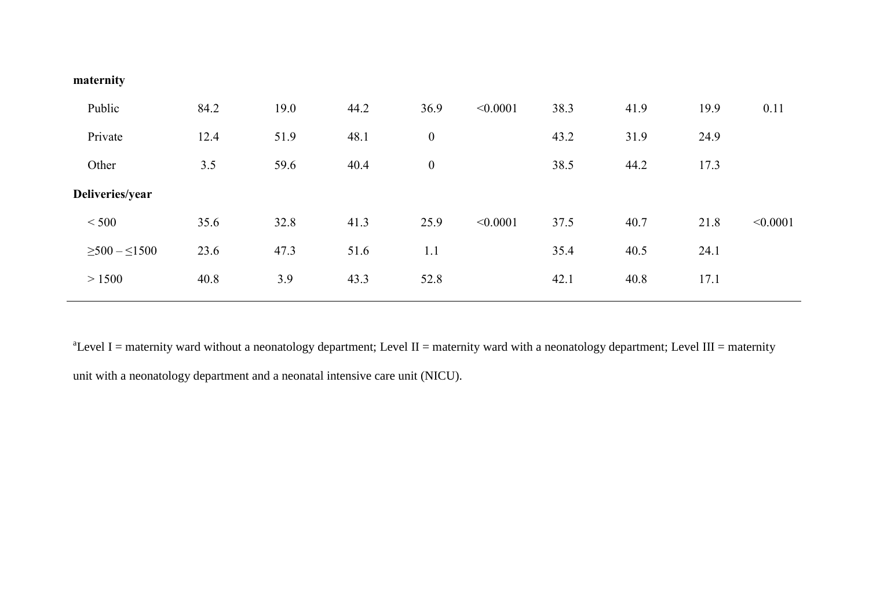| maternity |  |
|-----------|--|
|           |  |

| Public                 | 84.2 | 19.0 | 44.2 | 36.9             | < 0.0001 | 38.3 | 41.9 | 19.9 | 0.11     |
|------------------------|------|------|------|------------------|----------|------|------|------|----------|
| Private                | 12.4 | 51.9 | 48.1 | $\boldsymbol{0}$ |          | 43.2 | 31.9 | 24.9 |          |
| Other                  | 3.5  | 59.6 | 40.4 | $\boldsymbol{0}$ |          | 38.5 | 44.2 | 17.3 |          |
| Deliveries/year        |      |      |      |                  |          |      |      |      |          |
| < 500                  | 35.6 | 32.8 | 41.3 | 25.9             | < 0.0001 | 37.5 | 40.7 | 21.8 | < 0.0001 |
| $\geq 500 - \leq 1500$ | 23.6 | 47.3 | 51.6 | 1.1              |          | 35.4 | 40.5 | 24.1 |          |
| > 1500                 | 40.8 | 3.9  | 43.3 | 52.8             |          | 42.1 | 40.8 | 17.1 |          |

 $a^2$ Level I = maternity ward without a neonatology department; Level II = maternity ward with a neonatology department; Level III = maternity unit with a neonatology department and a neonatal intensive care unit (NICU).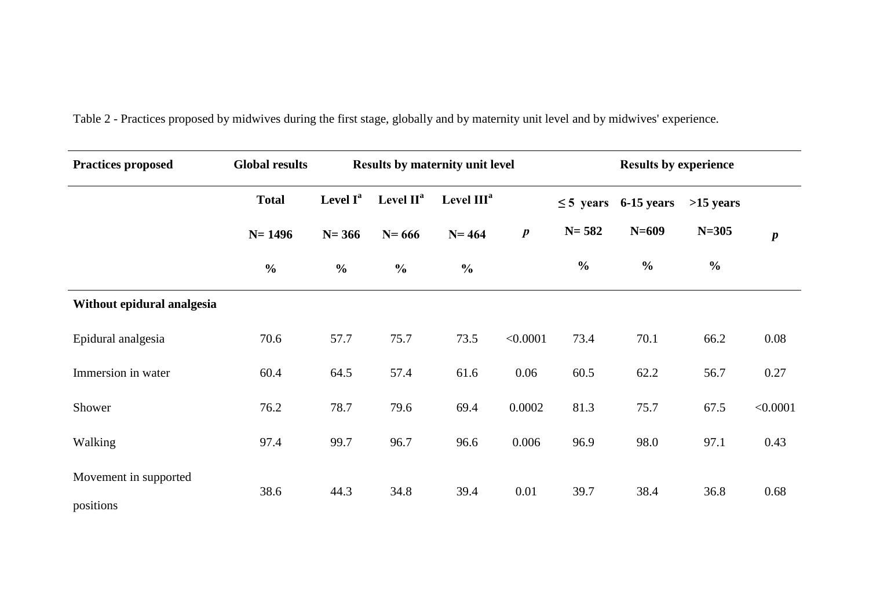| <b>Practices proposed</b>          | <b>Global results</b> |                      |               | <b>Results by maternity unit level</b> |                  | <b>Results by experience</b> |               |               |                  |  |  |
|------------------------------------|-----------------------|----------------------|---------------|----------------------------------------|------------------|------------------------------|---------------|---------------|------------------|--|--|
|                                    | <b>Total</b>          | Level I <sup>a</sup> | Level $II^a$  | Level $IIIa$                           |                  | $\leq$ 5 years               | 6-15 years    | $>15$ years   |                  |  |  |
|                                    | $N = 1496$            | $N = 366$            | $N = 666$     | $N = 464$                              | $\boldsymbol{p}$ | $N = 582$                    | $N=609$       | $N = 305$     | $\boldsymbol{p}$ |  |  |
|                                    | $\frac{6}{6}$         | $\frac{0}{0}$        | $\frac{0}{0}$ | $\frac{0}{0}$                          |                  | $\frac{6}{6}$                | $\frac{0}{0}$ | $\frac{6}{6}$ |                  |  |  |
| Without epidural analgesia         |                       |                      |               |                                        |                  |                              |               |               |                  |  |  |
| Epidural analgesia                 | 70.6                  | 57.7                 | 75.7          | 73.5                                   | < 0.0001         | 73.4                         | 70.1          | 66.2          | 0.08             |  |  |
| Immersion in water                 | 60.4                  | 64.5                 | 57.4          | 61.6                                   | 0.06             | 60.5                         | 62.2          | 56.7          | 0.27             |  |  |
| Shower                             | 76.2                  | 78.7                 | 79.6          | 69.4                                   | 0.0002           | 81.3                         | 75.7          | 67.5          | < 0.0001         |  |  |
| Walking                            | 97.4                  | 99.7                 | 96.7          | 96.6                                   | 0.006            | 96.9                         | 98.0          | 97.1          | 0.43             |  |  |
| Movement in supported<br>positions | 38.6                  | 44.3                 | 34.8          | 39.4                                   | 0.01             | 39.7                         | 38.4          | 36.8          | 0.68             |  |  |

Table 2 - Practices proposed by midwives during the first stage, globally and by maternity unit level and by midwives' experience.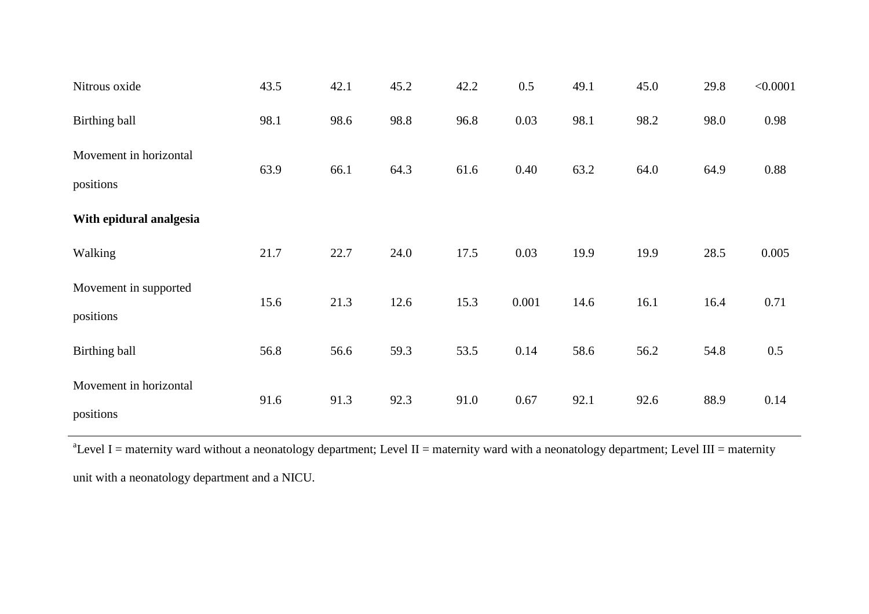| Nitrous oxide           | 43.5 | 42.1 | 45.2 | 42.2 | 0.5   | 49.1 | 45.0 | 29.8 | < 0.0001 |
|-------------------------|------|------|------|------|-------|------|------|------|----------|
| Birthing ball           | 98.1 | 98.6 | 98.8 | 96.8 | 0.03  | 98.1 | 98.2 | 98.0 | 0.98     |
| Movement in horizontal  | 63.9 | 66.1 | 64.3 | 61.6 | 0.40  | 63.2 | 64.0 | 64.9 | 0.88     |
| positions               |      |      |      |      |       |      |      |      |          |
| With epidural analgesia |      |      |      |      |       |      |      |      |          |
| Walking                 | 21.7 | 22.7 | 24.0 | 17.5 | 0.03  | 19.9 | 19.9 | 28.5 | 0.005    |
| Movement in supported   | 15.6 | 21.3 | 12.6 | 15.3 | 0.001 | 14.6 | 16.1 | 16.4 | 0.71     |
| positions               |      |      |      |      |       |      |      |      |          |
| Birthing ball           | 56.8 | 56.6 | 59.3 | 53.5 | 0.14  | 58.6 | 56.2 | 54.8 | 0.5      |
| Movement in horizontal  | 91.6 | 91.3 | 92.3 | 91.0 | 0.67  | 92.1 | 92.6 | 88.9 | 0.14     |
| positions               |      |      |      |      |       |      |      |      |          |

 $a^2$ Level I = maternity ward without a neonatology department; Level II = maternity ward with a neonatology department; Level III = maternity unit with a neonatology department and a NICU.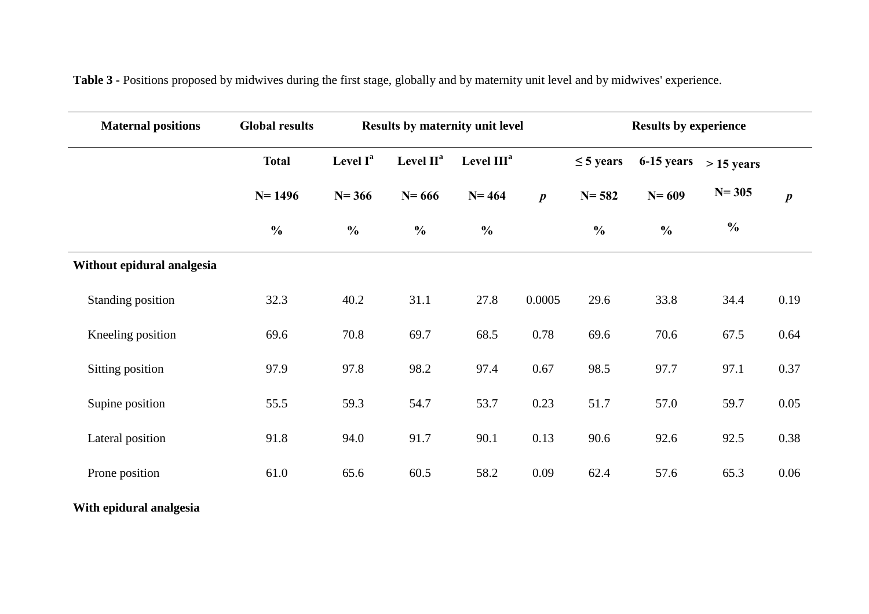| <b>Maternal positions</b>  | <b>Global results</b> |               | <b>Results by maternity unit level</b> |                        |                  | <b>Results by experience</b> |               |               |                  |  |
|----------------------------|-----------------------|---------------|----------------------------------------|------------------------|------------------|------------------------------|---------------|---------------|------------------|--|
|                            | <b>Total</b>          | Level $I^a$   | Level $II^a$                           | Level III <sup>a</sup> |                  | $\leq$ 5 years               | 6-15 years    | $> 15$ years  |                  |  |
|                            | $N = 1496$            | $N = 366$     | $N = 666$                              | $N = 464$              | $\boldsymbol{p}$ | $N = 582$                    | $N = 609$     | $N = 305$     | $\boldsymbol{p}$ |  |
|                            | $\frac{0}{0}$         | $\frac{0}{0}$ | $\frac{0}{0}$                          | $\frac{0}{0}$          |                  | $\frac{0}{0}$                | $\frac{0}{0}$ | $\frac{0}{0}$ |                  |  |
| Without epidural analgesia |                       |               |                                        |                        |                  |                              |               |               |                  |  |
| Standing position          | 32.3                  | 40.2          | 31.1                                   | 27.8                   | 0.0005           | 29.6                         | 33.8          | 34.4          | 0.19             |  |
| Kneeling position          | 69.6                  | 70.8          | 69.7                                   | 68.5                   | 0.78             | 69.6                         | 70.6          | 67.5          | 0.64             |  |
| Sitting position           | 97.9                  | 97.8          | 98.2                                   | 97.4                   | 0.67             | 98.5                         | 97.7          | 97.1          | 0.37             |  |
| Supine position            | 55.5                  | 59.3          | 54.7                                   | 53.7                   | 0.23             | 51.7                         | 57.0          | 59.7          | 0.05             |  |
| Lateral position           | 91.8                  | 94.0          | 91.7                                   | 90.1                   | 0.13             | 90.6                         | 92.6          | 92.5          | 0.38             |  |
| Prone position             | 61.0                  | 65.6          | 60.5                                   | 58.2                   | 0.09             | 62.4                         | 57.6          | 65.3          | 0.06             |  |

**Table 3 -** Positions proposed by midwives during the first stage, globally and by maternity unit level and by midwives' experience.

**With epidural analgesia**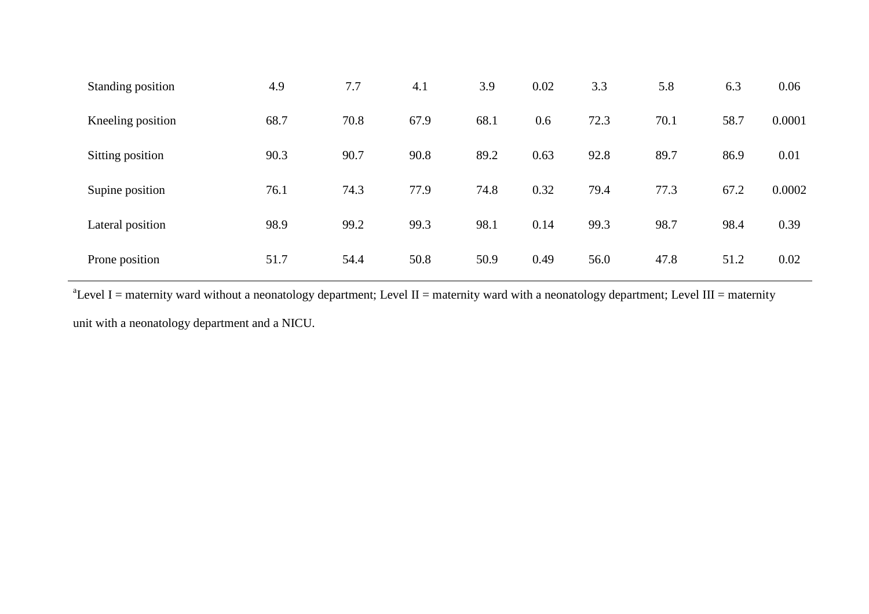| Standing position | 4.9  | 7.7  | 4.1  | 3.9  | 0.02 | 3.3  | 5.8  | 6.3  | 0.06   |
|-------------------|------|------|------|------|------|------|------|------|--------|
| Kneeling position | 68.7 | 70.8 | 67.9 | 68.1 | 0.6  | 72.3 | 70.1 | 58.7 | 0.0001 |
| Sitting position  | 90.3 | 90.7 | 90.8 | 89.2 | 0.63 | 92.8 | 89.7 | 86.9 | 0.01   |
| Supine position   | 76.1 | 74.3 | 77.9 | 74.8 | 0.32 | 79.4 | 77.3 | 67.2 | 0.0002 |
| Lateral position  | 98.9 | 99.2 | 99.3 | 98.1 | 0.14 | 99.3 | 98.7 | 98.4 | 0.39   |
| Prone position    | 51.7 | 54.4 | 50.8 | 50.9 | 0.49 | 56.0 | 47.8 | 51.2 | 0.02   |

 $^{\text{a}}$ Level I = maternity ward without a neonatology department; Level II = maternity ward with a neonatology department; Level III = maternity unit with a neonatology department and a NICU.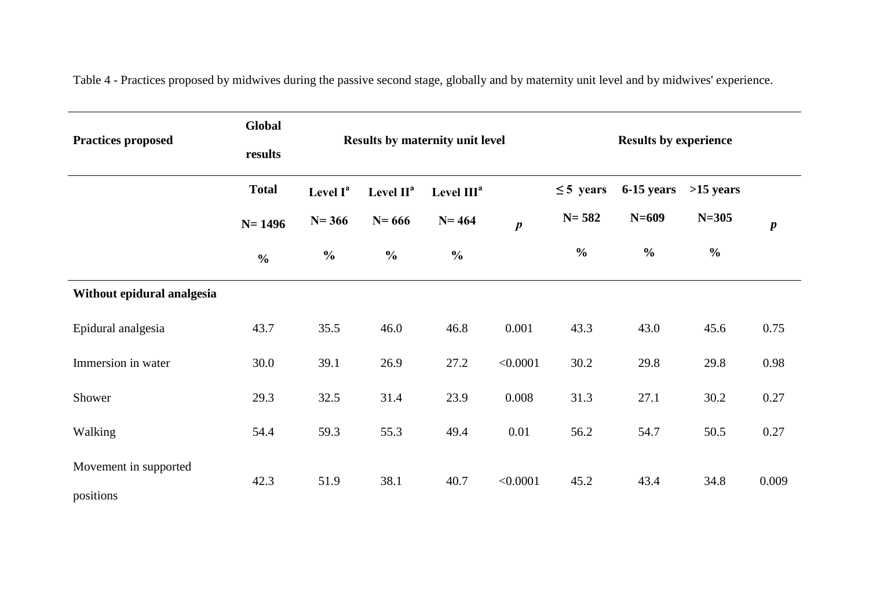| <b>Practices proposed</b>          | Global<br>results |                                                                         |               | <b>Results by maternity unit level</b> |                  | <b>Results by experience</b> |               |               |                  |  |
|------------------------------------|-------------------|-------------------------------------------------------------------------|---------------|----------------------------------------|------------------|------------------------------|---------------|---------------|------------------|--|
|                                    | <b>Total</b>      | Level I <sup>a</sup><br>Level II <sup>a</sup><br>Level III <sup>a</sup> |               | $\leq$ 5 years                         | 6-15 years       | $>15$ years                  |               |               |                  |  |
|                                    | $N = 1496$        | $N = 366$                                                               | $N = 666$     | $N = 464$                              | $\boldsymbol{p}$ | $N = 582$                    | $N=609$       | $N = 305$     | $\boldsymbol{p}$ |  |
|                                    | $\frac{0}{0}$     | $\frac{0}{0}$                                                           | $\frac{0}{0}$ | $\frac{0}{0}$                          |                  | $\frac{0}{0}$                | $\frac{0}{0}$ | $\frac{0}{0}$ |                  |  |
| Without epidural analgesia         |                   |                                                                         |               |                                        |                  |                              |               |               |                  |  |
| Epidural analgesia                 | 43.7              | 35.5                                                                    | 46.0          | 46.8                                   | 0.001            | 43.3                         | 43.0          | 45.6          | 0.75             |  |
| Immersion in water                 | 30.0              | 39.1                                                                    | 26.9          | 27.2                                   | < 0.0001         | 30.2                         | 29.8          | 29.8          | 0.98             |  |
| Shower                             | 29.3              | 32.5                                                                    | 31.4          | 23.9                                   | 0.008            | 31.3                         | 27.1          | 30.2          | 0.27             |  |
| Walking                            | 54.4              | 59.3                                                                    | 55.3          | 49.4                                   | 0.01             | 56.2                         | 54.7          | 50.5          | 0.27             |  |
| Movement in supported<br>positions | 42.3              | 51.9                                                                    | 38.1          | 40.7                                   | < 0.0001         | 45.2                         | 43.4          | 34.8          | 0.009            |  |

Table 4 - Practices proposed by midwives during the passive second stage, globally and by maternity unit level and by midwives' experience.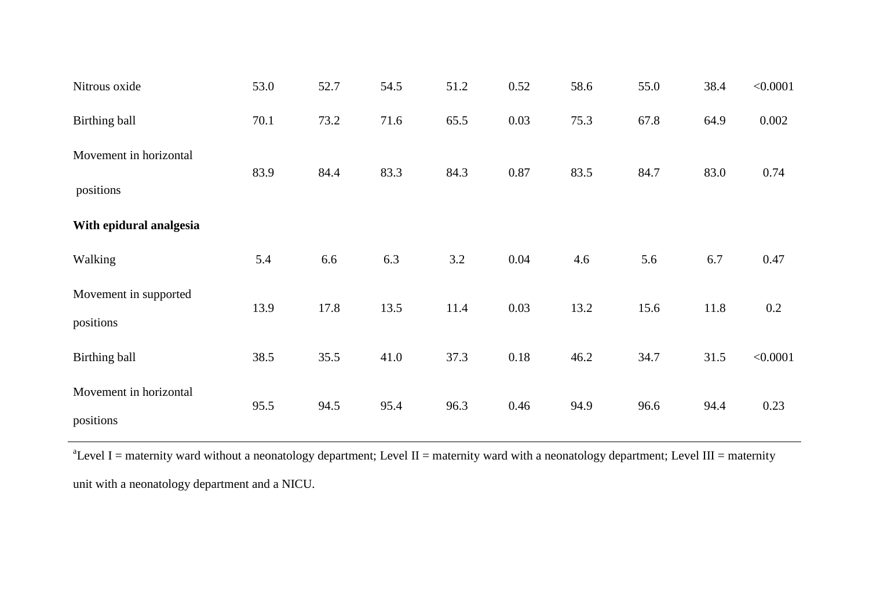| Nitrous oxide           | 53.0 | 52.7 | 54.5 | 51.2 | 0.52 | 58.6 | 55.0 | 38.4 | < 0.0001 |
|-------------------------|------|------|------|------|------|------|------|------|----------|
| Birthing ball           | 70.1 | 73.2 | 71.6 | 65.5 | 0.03 | 75.3 | 67.8 | 64.9 | 0.002    |
| Movement in horizontal  | 83.9 | 84.4 | 83.3 | 84.3 | 0.87 | 83.5 | 84.7 | 83.0 | 0.74     |
| positions               |      |      |      |      |      |      |      |      |          |
| With epidural analgesia |      |      |      |      |      |      |      |      |          |
| Walking                 | 5.4  | 6.6  | 6.3  | 3.2  | 0.04 | 4.6  | 5.6  | 6.7  | 0.47     |
| Movement in supported   | 13.9 | 17.8 | 13.5 | 11.4 | 0.03 | 13.2 | 15.6 | 11.8 | 0.2      |
| positions               |      |      |      |      |      |      |      |      |          |
| Birthing ball           | 38.5 | 35.5 | 41.0 | 37.3 | 0.18 | 46.2 | 34.7 | 31.5 | < 0.0001 |
| Movement in horizontal  | 95.5 | 94.5 | 95.4 | 96.3 | 0.46 | 94.9 | 96.6 | 94.4 | 0.23     |
| positions               |      |      |      |      |      |      |      |      |          |

 $a^2$ Level I = maternity ward without a neonatology department; Level II = maternity ward with a neonatology department; Level III = maternity unit with a neonatology department and a NICU.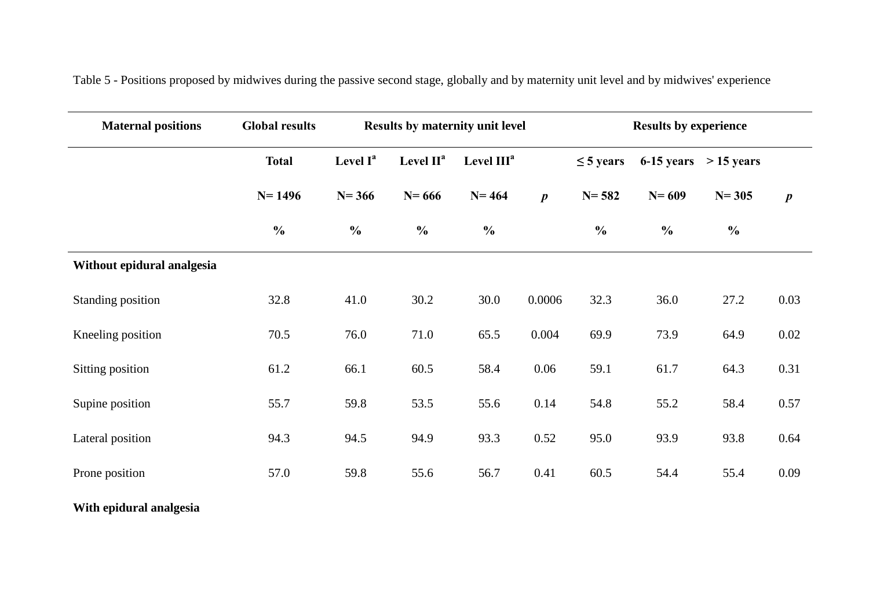| <b>Maternal positions</b>  | <b>Global results</b> |                      |                                  | Results by maternity unit level |                  | <b>Results by experience</b> |               |               |                  |  |
|----------------------------|-----------------------|----------------------|----------------------------------|---------------------------------|------------------|------------------------------|---------------|---------------|------------------|--|
|                            | <b>Total</b>          | Level I <sup>a</sup> | Level $\mathbf{II}^{\mathbf{a}}$ | Level III <sup>a</sup>          |                  | $\leq$ 5 years               | 6-15 years    | $> 15$ years  |                  |  |
|                            | $N = 1496$            | $N = 366$            | $N = 666$                        | $N = 464$                       | $\boldsymbol{p}$ | $N = 582$                    | $N = 609$     | $N = 305$     | $\boldsymbol{p}$ |  |
|                            | $\frac{0}{0}$         | $\frac{0}{0}$        | $\frac{0}{0}$                    | $\frac{0}{0}$                   |                  | $\frac{0}{0}$                | $\frac{0}{0}$ | $\frac{0}{0}$ |                  |  |
| Without epidural analgesia |                       |                      |                                  |                                 |                  |                              |               |               |                  |  |
| Standing position          | 32.8                  | 41.0                 | 30.2                             | 30.0                            | 0.0006           | 32.3                         | 36.0          | 27.2          | 0.03             |  |
| Kneeling position          | 70.5                  | 76.0                 | 71.0                             | 65.5                            | 0.004            | 69.9                         | 73.9          | 64.9          | 0.02             |  |
| Sitting position           | 61.2                  | 66.1                 | 60.5                             | 58.4                            | 0.06             | 59.1                         | 61.7          | 64.3          | 0.31             |  |
| Supine position            | 55.7                  | 59.8                 | 53.5                             | 55.6                            | 0.14             | 54.8                         | 55.2          | 58.4          | 0.57             |  |
| Lateral position           | 94.3                  | 94.5                 | 94.9                             | 93.3                            | 0.52             | 95.0                         | 93.9          | 93.8          | 0.64             |  |
| Prone position             | 57.0                  | 59.8                 | 55.6                             | 56.7                            | 0.41             | 60.5                         | 54.4          | 55.4          | 0.09             |  |

Table 5 - Positions proposed by midwives during the passive second stage, globally and by maternity unit level and by midwives' experience

**With epidural analgesia**